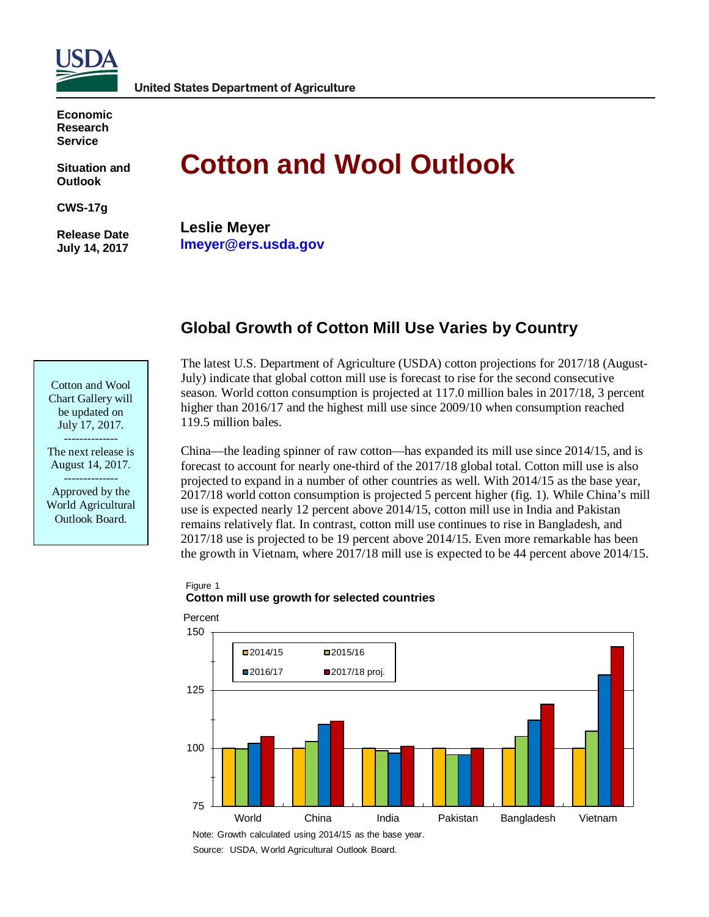

**Economic Research Service**

**Situation and Outlook**

**CWS-17g**

**Release Date July 14, 2017**

# **Cotton and Wool Outlook**

**Leslie Meyer lmeyer@ers.usda.gov**

# **Global Growth of Cotton Mill Use Varies by Country**

| Cotton and Wool    |
|--------------------|
| Chart Gallery will |
| be updated on      |
| July 17, 2017.     |

-------------- The next release is August 14, 2017.

-------------- Approved by the World Agricultural Outlook Board.

The latest U.S. Department of Agriculture (USDA) cotton projections for 2017/18 (August-July) indicate that global cotton mill use is forecast to rise for the second consecutive season. World cotton consumption is projected at 117.0 million bales in 2017/18, 3 percent higher than 2016/17 and the highest mill use since 2009/10 when consumption reached 119.5 million bales.

China—the leading spinner of raw cotton—has expanded its mill use since 2014/15, and is forecast to account for nearly one-third of the 2017/18 global total. Cotton mill use is also projected to expand in a number of other countries as well. With 2014/15 as the base year, 2017/18 world cotton consumption is projected 5 percent higher (fig. 1). While China's mill use is expected nearly 12 percent above 2014/15, cotton mill use in India and Pakistan remains relatively flat. In contrast, cotton mill use continues to rise in Bangladesh, and 2017/18 use is projected to be 19 percent above 2014/15. Even more remarkable has been the growth in Vietnam, where 2017/18 mill use is expected to be 44 percent above 2014/15.

## Figure 1 **Cotton mill use growth for selected countries**



Note: Growth calculated using 2014/15 as the base year.

Source: USDA, World Agricultural Outlook Board.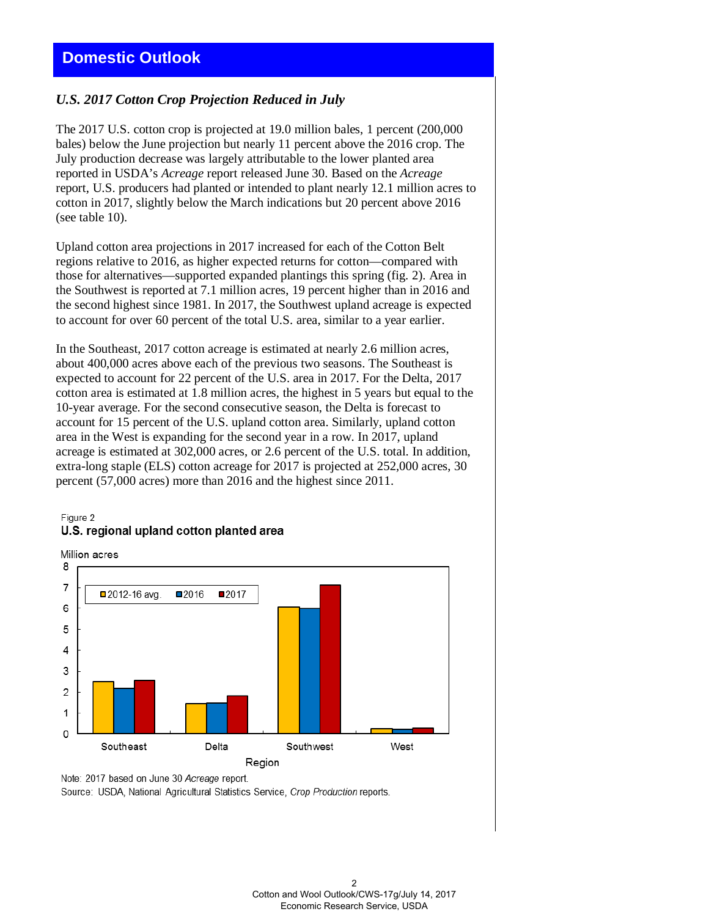# *U.S. 2017 Cotton Crop Projection Reduced in July*

The 2017 U.S. cotton crop is projected at 19.0 million bales, 1 percent (200,000 bales) below the June projection but nearly 11 percent above the 2016 crop. The July production decrease was largely attributable to the lower planted area reported in USDA's *Acreage* report released June 30. Based on the *Acreage* report, U.S. producers had planted or intended to plant nearly 12.1 million acres to cotton in 2017, slightly below the March indications but 20 percent above 2016 (see table 10).

Upland cotton area projections in 2017 increased for each of the Cotton Belt regions relative to 2016, as higher expected returns for cotton—compared with those for alternatives—supported expanded plantings this spring (fig. 2). Area in the Southwest is reported at 7.1 million acres, 19 percent higher than in 2016 and the second highest since 1981. In 2017, the Southwest upland acreage is expected to account for over 60 percent of the total U.S. area, similar to a year earlier.

In the Southeast, 2017 cotton acreage is estimated at nearly 2.6 million acres, about 400,000 acres above each of the previous two seasons. The Southeast is expected to account for 22 percent of the U.S. area in 2017. For the Delta, 2017 cotton area is estimated at 1.8 million acres, the highest in 5 years but equal to the 10-year average. For the second consecutive season, the Delta is forecast to account for 15 percent of the U.S. upland cotton area. Similarly, upland cotton area in the West is expanding for the second year in a row. In 2017, upland acreage is estimated at 302,000 acres, or 2.6 percent of the U.S. total. In addition, extra-long staple (ELS) cotton acreage for 2017 is projected at 252,000 acres, 30 percent (57,000 acres) more than 2016 and the highest since 2011.

#### Figure 2 U.S. regional upland cotton planted area

Million acres



Note: 2017 based on June 30 Acreage report.

Source: USDA, National Agricultural Statistics Service, Crop Production reports.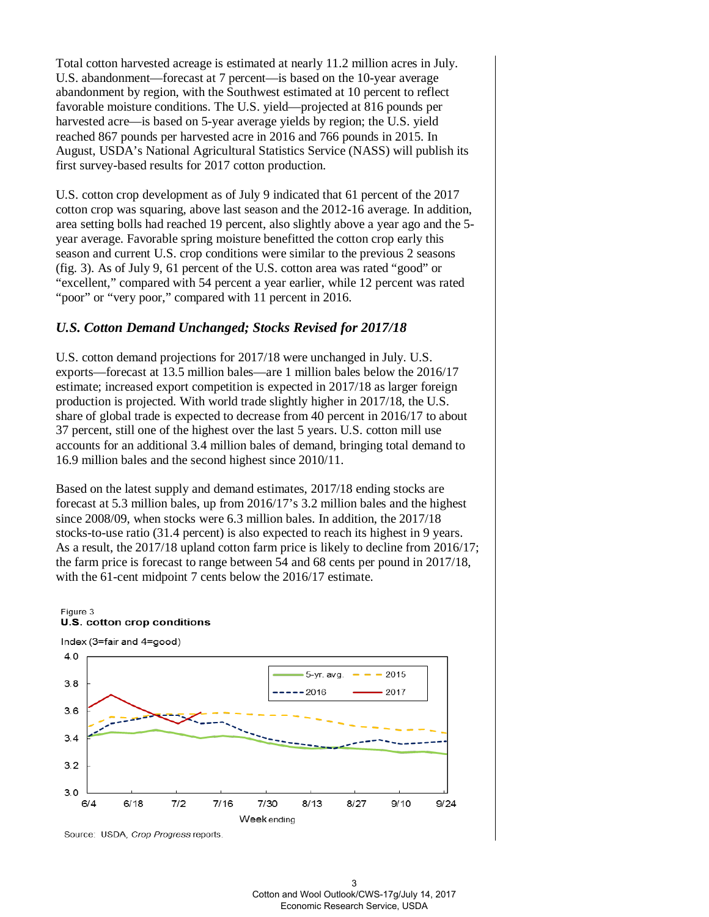Total cotton harvested acreage is estimated at nearly 11.2 million acres in July. U.S. abandonment—forecast at 7 percent—is based on the 10-year average abandonment by region, with the Southwest estimated at 10 percent to reflect favorable moisture conditions. The U.S. yield—projected at 816 pounds per harvested acre—is based on 5-year average yields by region; the U.S. yield reached 867 pounds per harvested acre in 2016 and 766 pounds in 2015. In August, USDA's National Agricultural Statistics Service (NASS) will publish its first survey-based results for 2017 cotton production.

U.S. cotton crop development as of July 9 indicated that 61 percent of the 2017 cotton crop was squaring, above last season and the 2012-16 average. In addition, area setting bolls had reached 19 percent, also slightly above a year ago and the 5 year average. Favorable spring moisture benefitted the cotton crop early this season and current U.S. crop conditions were similar to the previous 2 seasons (fig. 3). As of July 9, 61 percent of the U.S. cotton area was rated "good" or "excellent," compared with 54 percent a year earlier, while 12 percent was rated "poor" or "very poor," compared with 11 percent in 2016.

## *U.S. Cotton Demand Unchanged; Stocks Revised for 2017/18*

U.S. cotton demand projections for 2017/18 were unchanged in July. U.S. exports—forecast at 13.5 million bales—are 1 million bales below the 2016/17 estimate; increased export competition is expected in 2017/18 as larger foreign production is projected. With world trade slightly higher in 2017/18, the U.S. share of global trade is expected to decrease from 40 percent in 2016/17 to about 37 percent, still one of the highest over the last 5 years. U.S. cotton mill use accounts for an additional 3.4 million bales of demand, bringing total demand to 16.9 million bales and the second highest since 2010/11.

Based on the latest supply and demand estimates, 2017/18 ending stocks are forecast at 5.3 million bales, up from 2016/17's 3.2 million bales and the highest since 2008/09, when stocks were 6.3 million bales. In addition, the 2017/18 stocks-to-use ratio (31.4 percent) is also expected to reach its highest in 9 years. As a result, the 2017/18 upland cotton farm price is likely to decline from 2016/17; the farm price is forecast to range between 54 and 68 cents per pound in 2017/18, with the 61-cent midpoint 7 cents below the 2016/17 estimate.



Source: USDA, Crop Progress reports.

U.S. cotton crop conditions

Figure 3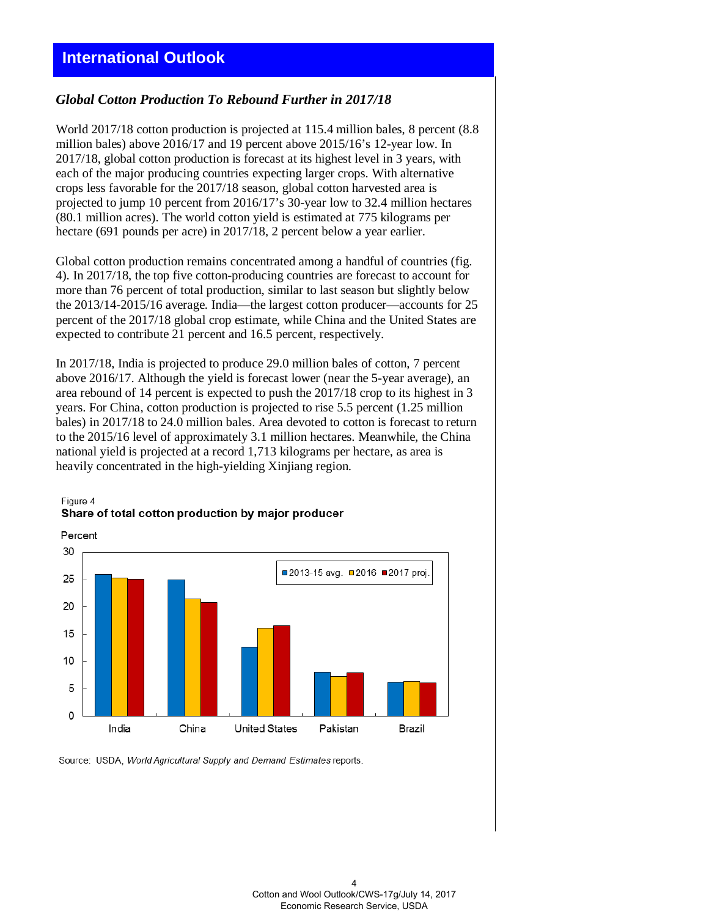#### *Global Cotton Production To Rebound Further in 2017/18*

World 2017/18 cotton production is projected at 115.4 million bales, 8 percent (8.8 million bales) above 2016/17 and 19 percent above 2015/16's 12-year low. In 2017/18, global cotton production is forecast at its highest level in 3 years, with each of the major producing countries expecting larger crops. With alternative crops less favorable for the 2017/18 season, global cotton harvested area is projected to jump 10 percent from 2016/17's 30-year low to 32.4 million hectares (80.1 million acres). The world cotton yield is estimated at 775 kilograms per hectare (691 pounds per acre) in 2017/18, 2 percent below a year earlier.

Global cotton production remains concentrated among a handful of countries (fig. 4). In 2017/18, the top five cotton-producing countries are forecast to account for more than 76 percent of total production, similar to last season but slightly below the 2013/14-2015/16 average. India—the largest cotton producer—accounts for 25 percent of the 2017/18 global crop estimate, while China and the United States are expected to contribute 21 percent and 16.5 percent, respectively.

In 2017/18, India is projected to produce 29.0 million bales of cotton, 7 percent above 2016/17. Although the yield is forecast lower (near the 5-year average), an area rebound of 14 percent is expected to push the 2017/18 crop to its highest in 3 years. For China, cotton production is projected to rise 5.5 percent (1.25 million bales) in 2017/18 to 24.0 million bales. Area devoted to cotton is forecast to return to the 2015/16 level of approximately 3.1 million hectares. Meanwhile, the China national yield is projected at a record 1,713 kilograms per hectare, as area is heavily concentrated in the high-yielding Xinjiang region.

#### Figure 4 Share of total cotton production by major producer



Source: USDA, World Agricultural Supply and Demand Estimates reports.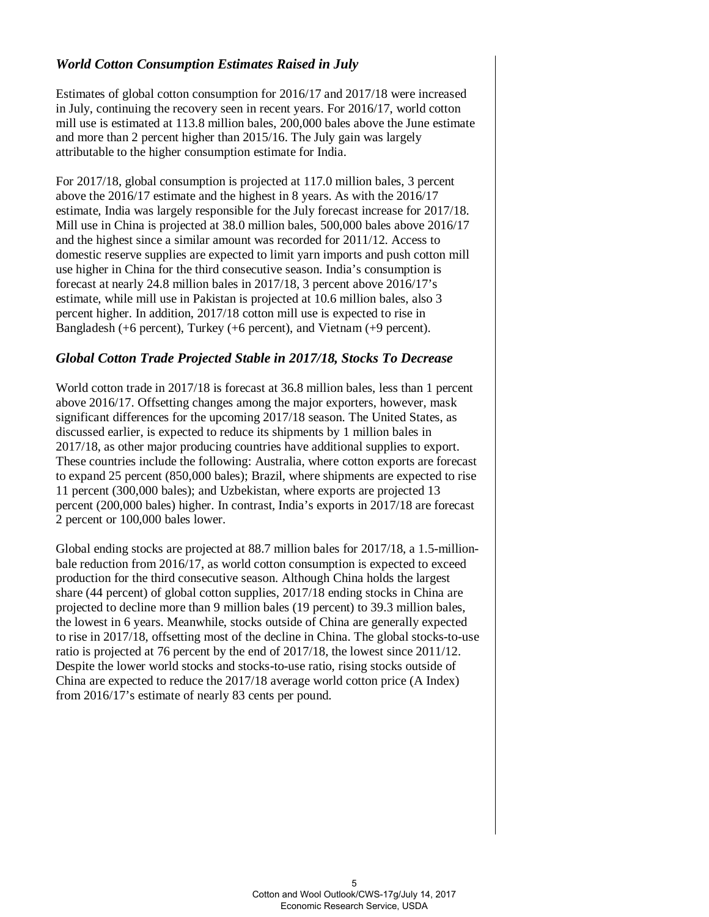# *World Cotton Consumption Estimates Raised in July*

Estimates of global cotton consumption for 2016/17 and 2017/18 were increased in July, continuing the recovery seen in recent years. For 2016/17, world cotton mill use is estimated at 113.8 million bales, 200,000 bales above the June estimate and more than 2 percent higher than 2015/16. The July gain was largely attributable to the higher consumption estimate for India.

For 2017/18, global consumption is projected at 117.0 million bales, 3 percent above the 2016/17 estimate and the highest in 8 years. As with the 2016/17 estimate, India was largely responsible for the July forecast increase for 2017/18. Mill use in China is projected at 38.0 million bales, 500,000 bales above 2016/17 and the highest since a similar amount was recorded for 2011/12. Access to domestic reserve supplies are expected to limit yarn imports and push cotton mill use higher in China for the third consecutive season. India's consumption is forecast at nearly 24.8 million bales in 2017/18, 3 percent above 2016/17's estimate, while mill use in Pakistan is projected at 10.6 million bales, also 3 percent higher. In addition, 2017/18 cotton mill use is expected to rise in Bangladesh (+6 percent), Turkey (+6 percent), and Vietnam (+9 percent).

# *Global Cotton Trade Projected Stable in 2017/18, Stocks To Decrease*

World cotton trade in 2017/18 is forecast at 36.8 million bales, less than 1 percent above 2016/17. Offsetting changes among the major exporters, however, mask significant differences for the upcoming 2017/18 season. The United States, as discussed earlier, is expected to reduce its shipments by 1 million bales in 2017/18, as other major producing countries have additional supplies to export. These countries include the following: Australia, where cotton exports are forecast to expand 25 percent (850,000 bales); Brazil, where shipments are expected to rise 11 percent (300,000 bales); and Uzbekistan, where exports are projected 13 percent (200,000 bales) higher. In contrast, India's exports in 2017/18 are forecast 2 percent or 100,000 bales lower.

Global ending stocks are projected at 88.7 million bales for 2017/18, a 1.5-millionbale reduction from 2016/17, as world cotton consumption is expected to exceed production for the third consecutive season. Although China holds the largest share (44 percent) of global cotton supplies, 2017/18 ending stocks in China are projected to decline more than 9 million bales (19 percent) to 39.3 million bales, the lowest in 6 years. Meanwhile, stocks outside of China are generally expected to rise in 2017/18, offsetting most of the decline in China. The global stocks-to-use ratio is projected at 76 percent by the end of 2017/18, the lowest since 2011/12. Despite the lower world stocks and stocks-to-use ratio, rising stocks outside of China are expected to reduce the 2017/18 average world cotton price (A Index) from 2016/17's estimate of nearly 83 cents per pound.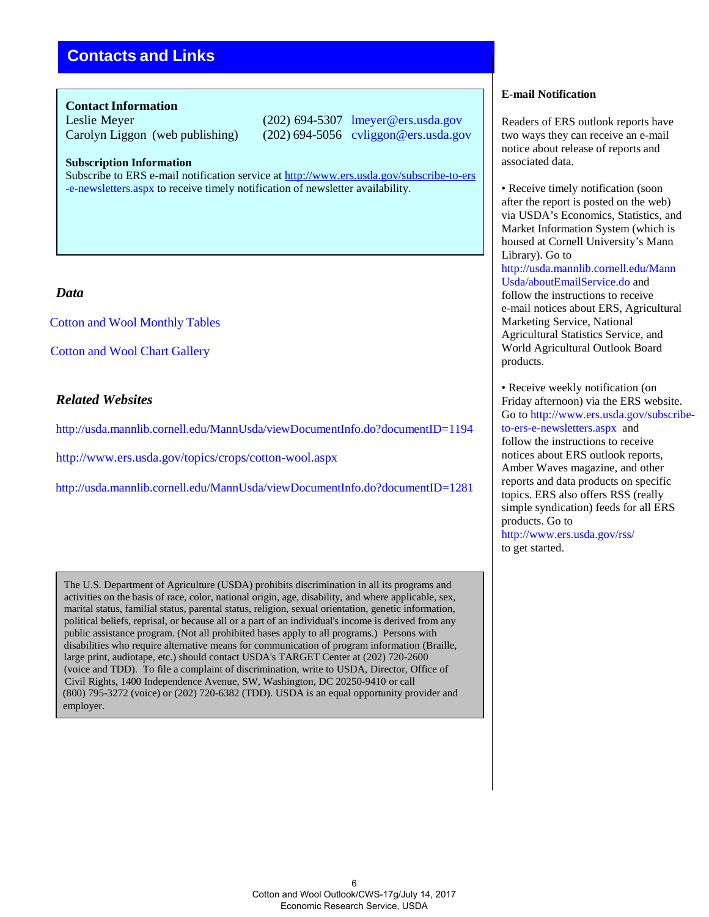# **Contacts and Links**

#### **Contact Information**

Leslie Meyer (202) 694-5307 lmeyer@ers.usda.gov Carolyn Liggon (web publishing) (202) 694-5056 cvliggon@ers.usda.gov

#### **Subscription Information**

Subscribe to ERS e-mail notification service at <http://www.ers.usda.gov/subscribe-to-ers> [-e-newsletters.aspx t](http://www.ers.usda.gov/subscribe-to-ers-e-newsletters.aspx)o receive timely notification of newsletter availability.

## *Data*

Cotton and [Wool Monthly Tables](http://ers.usda.gov/publications/cws-cotton-and-wool-outlook)

[Cotton and Wool Chart](http://www.ers.usda.gov/data-products/cotton-and-%20wool-chart-gallery.aspx#.UguTC6z8J8E) Gallery

## *Related Websites*

<http://usda.mannlib.cornell.edu/MannUsda/viewDocumentInfo.do?documentID=1194>

<http://www.ers.usda.gov/topics/crops/cotton-wool.aspx>

<http://usda.mannlib.cornell.edu/MannUsda/viewDocumentInfo.do?documentID=1281>

The U.S. Department of Agriculture (USDA) prohibits discrimination in all its programs and activities on the basis of race, color, national origin, age, disability, and where applicable, sex, marital status, familial status, parental status, religion, sexual orientation, genetic information, political beliefs, reprisal, or because all or a part of an individual's income is derived from any public assistance program. (Not all prohibited bases apply to all programs.) Persons with disabilities who require alternative means for communication of program information (Braille, large print, audiotape, etc.) should contact USDA's TARGET Center at (202) 720-2600 (voice and TDD). To file a complaint of discrimination, write to USDA, Director, Office of Civil Rights, 1400 Independence Avenue, SW, Washington, DC 20250-9410 or call (800) 795-3272 (voice) or (202) 720-6382 (TDD). USDA is an equal opportunity provider and employer.

## **E-mail Notification**

Readers of ERS outlook reports have two ways they can receive an e-mail notice about release of reports and associated data.

• Receive timely notification (soon) after the report is posted on the web) via USDA's Economics, Statistics, and Market Information System (which is housed at Cornell University's Mann Library). Go to [http://usda.mannlib.cornell.edu/Mann](http://usda.mannlib.cornell.edu/MannUsda/aboutEmailService.do) [Usda/aboutEmailService.do a](http://usda.mannlib.cornell.edu/MannUsda/aboutEmailService.do)nd follow the instructions to receive e-mail notices about ERS, Agricultural Marketing Service, National Agricultural Statistics Service, and World Agricultural Outlook Board products.

• Receive weekly notification (on Friday afternoon) via the ERS website. Go to [http://www.ers.usda.gov/subscribe](http://www.ers.usda.gov/subscribe-)to-ers-e-newsletters.aspx and follow the instructions to receive notices about ERS outlook reports, Amber Waves magazine, and other reports and data products on specific topics. ERS also offers RSS (really simple syndication) feeds for all ERS products. Go to <http://www.ers.usda.gov/rss/> to get started.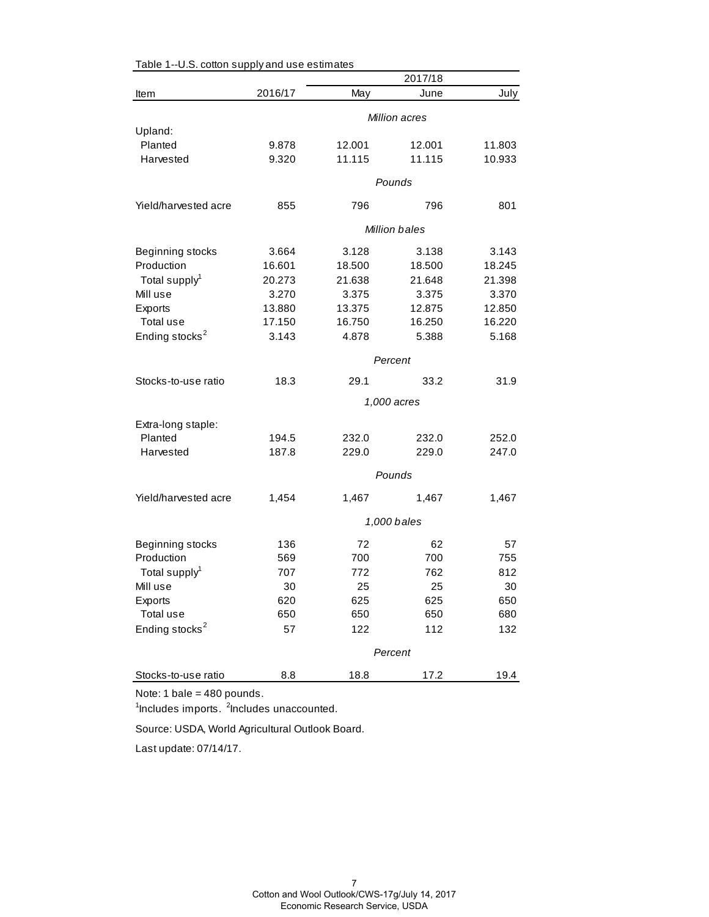|                            |            |            | 2017/18       |            |
|----------------------------|------------|------------|---------------|------------|
| Item                       | 2016/17    | May        | June          | July       |
|                            |            |            | Million acres |            |
| Upland:                    |            |            |               |            |
| Planted                    | 9.878      | 12.001     | 12.001        | 11.803     |
| Harvested                  | 9.320      | 11.115     | 11.115        | 10.933     |
|                            |            |            | Pounds        |            |
| Yield/harvested acre       | 855        | 796        | 796           | 801        |
|                            |            |            | Million bales |            |
| Beginning stocks           | 3.664      | 3.128      | 3.138         | 3.143      |
| Production                 | 16.601     | 18.500     | 18.500        | 18.245     |
| Total supply <sup>1</sup>  | 20.273     | 21.638     | 21.648        | 21.398     |
| Mill use                   | 3.270      | 3.375      | 3.375         | 3.370      |
| Exports                    | 13.880     | 13.375     | 12.875        | 12.850     |
| Total use                  | 17.150     | 16.750     | 16.250        | 16.220     |
| Ending stocks <sup>2</sup> | 3.143      | 4.878      | 5.388         | 5.168      |
|                            |            |            | Percent       |            |
| Stocks-to-use ratio        | 18.3       | 29.1       | 33.2          | 31.9       |
|                            |            |            | 1,000 acres   |            |
| Extra-long staple:         |            |            |               |            |
| Planted                    | 194.5      | 232.0      | 232.0         | 252.0      |
| Harvested                  | 187.8      | 229.0      | 229.0         | 247.0      |
|                            |            |            | Pounds        |            |
| Yield/harvested acre       | 1,454      | 1,467      | 1,467         | 1,467      |
|                            |            |            | 1,000 bales   |            |
|                            |            |            |               |            |
| Beginning stocks           | 136        | 72         | 62            | 57         |
| Production                 | 569<br>707 | 700<br>772 | 700           | 755        |
| Total supply <sup>1</sup>  |            |            | 762           | 812        |
| Mill use                   | 30         | 25         | 25            | 30         |
| Exports<br>Total use       | 620<br>650 | 625<br>650 | 625<br>650    | 650<br>680 |
| Ending stocks <sup>2</sup> | 57         | 122        | 112           | 132        |
|                            |            |            |               |            |
|                            | Percent    |            |               |            |
| Stocks-to-use ratio        | 8.8        | 18.8       | 17.2          | 19.4       |

Table 1--U.S. cotton supply and use estimates

Note: 1 bale = 480 pounds.

<sup>1</sup>Includes imports. <sup>2</sup>Includes unaccounted.

Source: USDA, World Agricultural Outlook Board.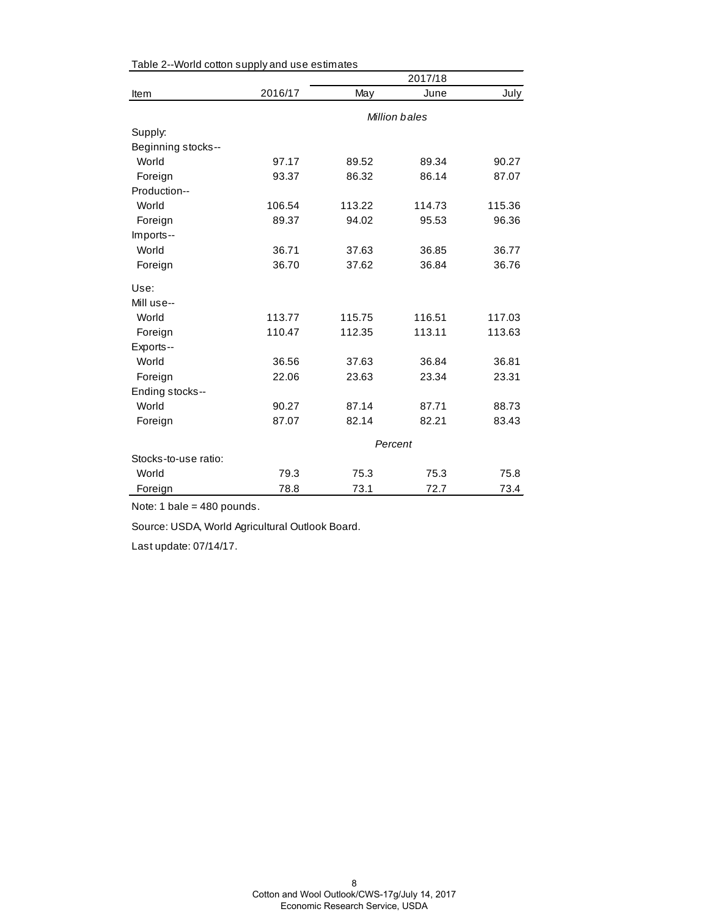|                      |         |               | 2017/18 |        |  |  |
|----------------------|---------|---------------|---------|--------|--|--|
| Item                 | 2016/17 | May           | June    | July   |  |  |
|                      |         | Million bales |         |        |  |  |
| Supply:              |         |               |         |        |  |  |
| Beginning stocks--   |         |               |         |        |  |  |
| World                | 97.17   | 89.52         | 89.34   | 90.27  |  |  |
| Foreign              | 93.37   | 86.32         | 86.14   | 87.07  |  |  |
| Production--         |         |               |         |        |  |  |
| World                | 106.54  | 113.22        | 114.73  | 115.36 |  |  |
| Foreign              | 89.37   | 94.02         | 95.53   | 96.36  |  |  |
| Imports--            |         |               |         |        |  |  |
| World                | 36.71   | 37.63         | 36.85   | 36.77  |  |  |
| Foreign              | 36.70   | 37.62         | 36.84   | 36.76  |  |  |
| Use:                 |         |               |         |        |  |  |
| Mill use--           |         |               |         |        |  |  |
| World                | 113.77  | 115.75        | 116.51  | 117.03 |  |  |
| Foreign              | 110.47  | 112.35        | 113.11  | 113.63 |  |  |
| Exports--            |         |               |         |        |  |  |
| World                | 36.56   | 37.63         | 36.84   | 36.81  |  |  |
| Foreign              | 22.06   | 23.63         | 23.34   | 23.31  |  |  |
| Ending stocks--      |         |               |         |        |  |  |
| World                | 90.27   | 87.14         | 87.71   | 88.73  |  |  |
| Foreign              | 87.07   | 82.14         | 82.21   | 83.43  |  |  |
|                      | Percent |               |         |        |  |  |
| Stocks-to-use ratio: |         |               |         |        |  |  |
| World                | 79.3    | 75.3          | 75.3    | 75.8   |  |  |
| Foreign              | 78.8    | 73.1          | 72.7    | 73.4   |  |  |

Table 2--World cotton supply and use estimates

Note: 1 bale = 480 pounds.

Source: USDA, World Agricultural Outlook Board.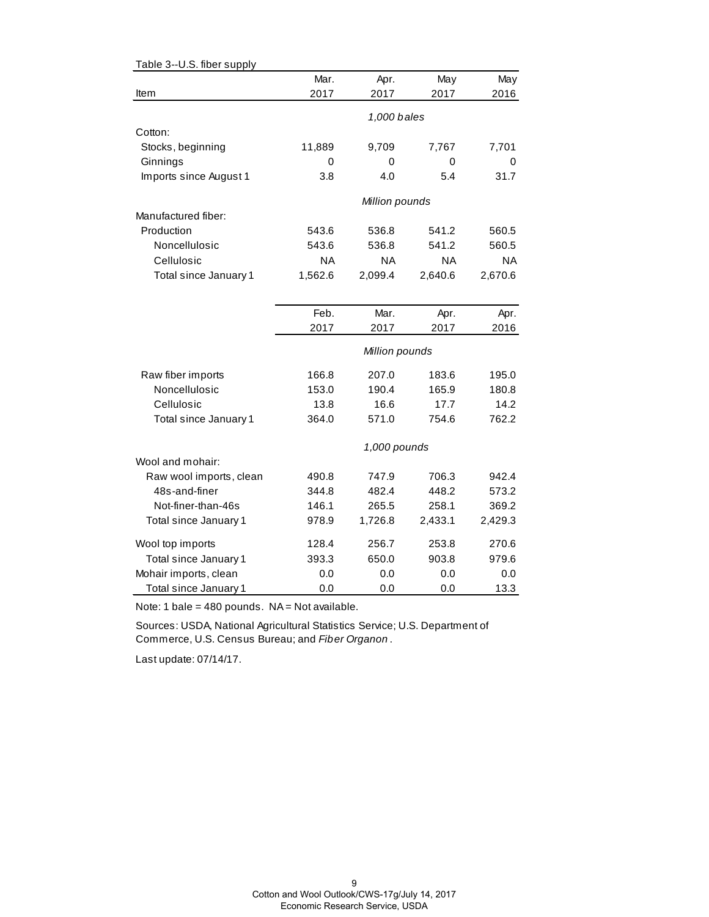| Table 3--U.S. fiber supply |           |                |         |           |
|----------------------------|-----------|----------------|---------|-----------|
|                            | Mar.      | Apr.           | May     | May       |
| Item                       | 2017      | 2017           | 2017    | 2016      |
|                            |           |                |         |           |
|                            |           | 1,000 bales    |         |           |
| Cotton:                    |           |                |         |           |
| Stocks, beginning          | 11,889    | 9,709          | 7,767   | 7,701     |
| Ginnings                   | 0         | 0              | 0       | 0         |
| Imports since August 1     | 3.8       | 4.0            | 5.4     | 31.7      |
|                            |           | Million pounds |         |           |
| Manufactured fiber:        |           |                |         |           |
| Production                 | 543.6     | 536.8          | 541.2   | 560.5     |
| Noncellulosic              | 543.6     | 536.8          | 541.2   | 560.5     |
| Cellulosic                 | <b>NA</b> | <b>NA</b>      | ΝA      | <b>NA</b> |
| Total since January 1      | 1,562.6   | 2,099.4        | 2,640.6 | 2,670.6   |
|                            |           |                |         |           |
|                            | Feb.      | Mar.           | Apr.    | Apr.      |
|                            | 2017      | 2017           | 2017    | 2016      |
|                            |           |                |         |           |
|                            |           | Million pounds |         |           |
| Raw fiber imports          | 166.8     | 207.0          | 183.6   | 195.0     |
| Noncellulosic              | 153.0     | 190.4          | 165.9   | 180.8     |
| Cellulosic                 | 13.8      | 16.6           | 17.7    | 14.2      |
| Total since January 1      | 364.0     | 571.0          | 754.6   | 762.2     |
|                            |           | 1,000 pounds   |         |           |
| Wool and mohair:           |           |                |         |           |
| Raw wool imports, clean    | 490.8     | 747.9          | 706.3   | 942.4     |
| 48s-and-finer              | 344.8     | 482.4          | 448.2   | 573.2     |
| Not-finer-than-46s         | 146.1     | 265.5          | 258.1   | 369.2     |
| Total since January 1      | 978.9     | 1,726.8        | 2,433.1 | 2,429.3   |
| Wool top imports           | 128.4     | 256.7          | 253.8   | 270.6     |
| Total since January 1      | 393.3     | 650.0          | 903.8   | 979.6     |
| Mohair imports, clean      | 0.0       | 0.0            | 0.0     | 0.0       |
| Total since January 1      | 0.0       | 0.0            | 0.0     | 13.3      |

Note: 1 bale =  $480$  pounds. NA = Not available.

Sources: USDA, National Agricultural Statistics Service; U.S. Department of Commerce, U.S. Census Bureau; and *Fiber Organon* .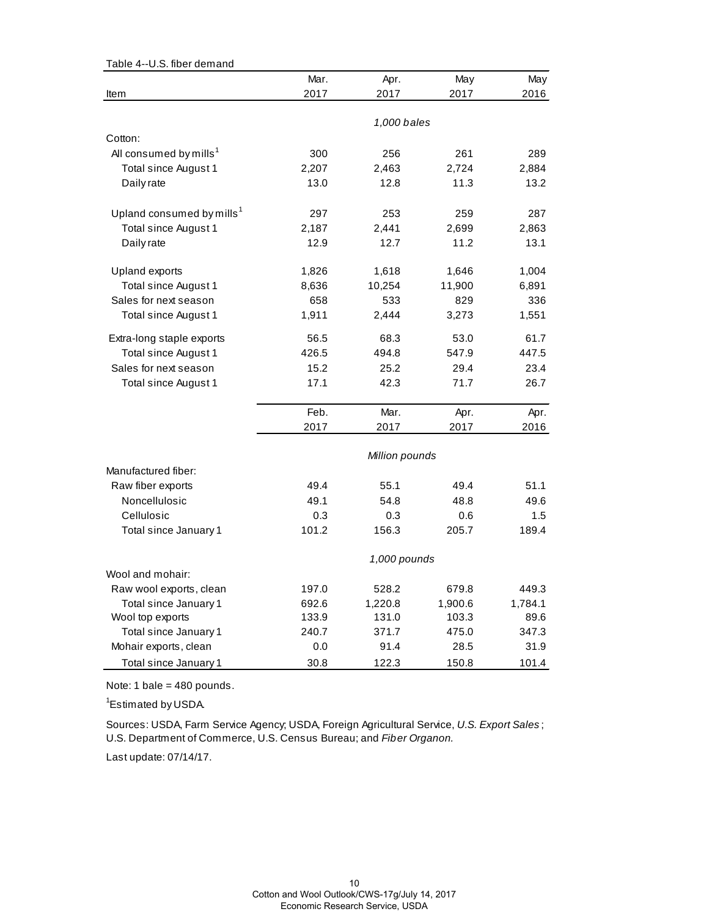| Table 4--U.S. fiber demand            |       |                |         |         |
|---------------------------------------|-------|----------------|---------|---------|
|                                       | Mar.  | Apr.           | May     | May     |
| Item                                  | 2017  | 2017           | 2017    | 2016    |
|                                       |       |                |         |         |
|                                       |       | 1,000 bales    |         |         |
| Cotton:                               |       |                |         |         |
| All consumed by mills <sup>1</sup>    | 300   | 256            | 261     | 289     |
| Total since August 1                  | 2,207 | 2,463          | 2,724   | 2,884   |
| Daily rate                            | 13.0  | 12.8           | 11.3    | 13.2    |
| Upland consumed by mills <sup>1</sup> | 297   | 253            | 259     | 287     |
| Total since August 1                  | 2,187 | 2,441          | 2,699   | 2,863   |
| Daily rate                            | 12.9  | 12.7           | 11.2    | 13.1    |
| Upland exports                        | 1,826 | 1,618          | 1,646   | 1,004   |
| Total since August 1                  | 8,636 | 10,254         | 11,900  | 6,891   |
| Sales for next season                 | 658   | 533            | 829     | 336     |
| Total since August 1                  | 1,911 | 2,444          | 3,273   | 1,551   |
| Extra-long staple exports             | 56.5  | 68.3           | 53.0    | 61.7    |
| Total since August 1                  | 426.5 | 494.8          | 547.9   | 447.5   |
| Sales for next season                 | 15.2  | 25.2           | 29.4    | 23.4    |
| Total since August 1                  | 17.1  | 42.3           | 71.7    | 26.7    |
|                                       | Feb.  | Mar.           | Apr.    | Apr.    |
|                                       | 2017  | 2017           | 2017    | 2016    |
|                                       |       | Million pounds |         |         |
| Manufactured fiber:                   |       |                |         |         |
| Raw fiber exports                     | 49.4  | 55.1           | 49.4    | 51.1    |
| Noncellulosic                         | 49.1  | 54.8           | 48.8    | 49.6    |
| Cellulosic                            | 0.3   | 0.3            | 0.6     | 1.5     |
| Total since January 1                 | 101.2 | 156.3          | 205.7   | 189.4   |
|                                       |       | 1,000 pounds   |         |         |
| Wool and mohair:                      |       |                |         |         |
| Raw wool exports, clean               | 197.0 | 528.2          | 679.8   | 449.3   |
| Total since January 1                 | 692.6 | 1,220.8        | 1,900.6 | 1,784.1 |
| Wool top exports                      | 133.9 | 131.0          | 103.3   | 89.6    |
| Total since January 1                 | 240.7 | 371.7          | 475.0   | 347.3   |
| Mohair exports, clean                 | 0.0   | 91.4           | 28.5    | 31.9    |
| Total since January 1                 | 30.8  | 122.3          | 150.8   | 101.4   |

Note: 1 bale = 480 pounds.

<sup>1</sup>Estimated by USDA.

Sources: USDA, Farm Service Agency; USDA, Foreign Agricultural Service, *U.S. Export Sales* ; U.S. Department of Commerce, U.S. Census Bureau; and *Fiber Organon.*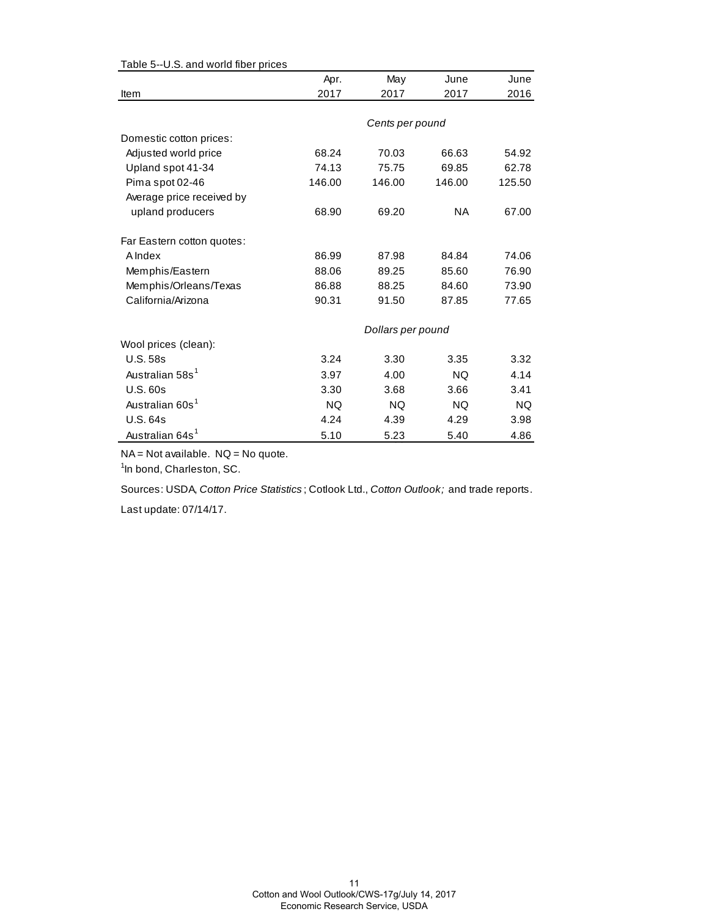| Apr.   | May       | June      | June                                 |
|--------|-----------|-----------|--------------------------------------|
| 2017   | 2017      | 2017      | 2016                                 |
|        |           |           |                                      |
|        |           |           |                                      |
|        |           |           |                                      |
| 68.24  | 70.03     | 66.63     | 54.92                                |
| 74.13  | 75.75     | 69.85     | 62.78                                |
| 146.00 | 146.00    | 146.00    | 125.50                               |
|        |           |           |                                      |
| 68.90  | 69.20     | <b>NA</b> | 67.00                                |
|        |           |           |                                      |
| 86.99  | 87.98     | 84.84     | 74.06                                |
| 88.06  | 89.25     | 85.60     | 76.90                                |
| 86.88  | 88.25     | 84.60     | 73.90                                |
| 90.31  | 91.50     | 87.85     | 77.65                                |
|        |           |           |                                      |
|        |           |           |                                      |
| 3.24   | 3.30      | 3.35      | 3.32                                 |
| 3.97   | 4.00      | <b>NQ</b> | 4.14                                 |
| 3.30   | 3.68      | 3.66      | 3.41                                 |
| NQ     | <b>NQ</b> | NQ.       | NQ                                   |
| 4.24   | 4.39      | 4.29      | 3.98                                 |
| 5.10   | 5.23      | 5.40      | 4.86                                 |
|        |           |           | Cents per pound<br>Dollars per pound |

#### Table 5--U.S. and world fiber prices

NA = Not available. NQ = No quote.

<sup>1</sup>In bond, Charleston, SC.

Sources: USDA, *Cotton Price Statistics* ; Cotlook Ltd., *Cotton Outlook;* and trade reports.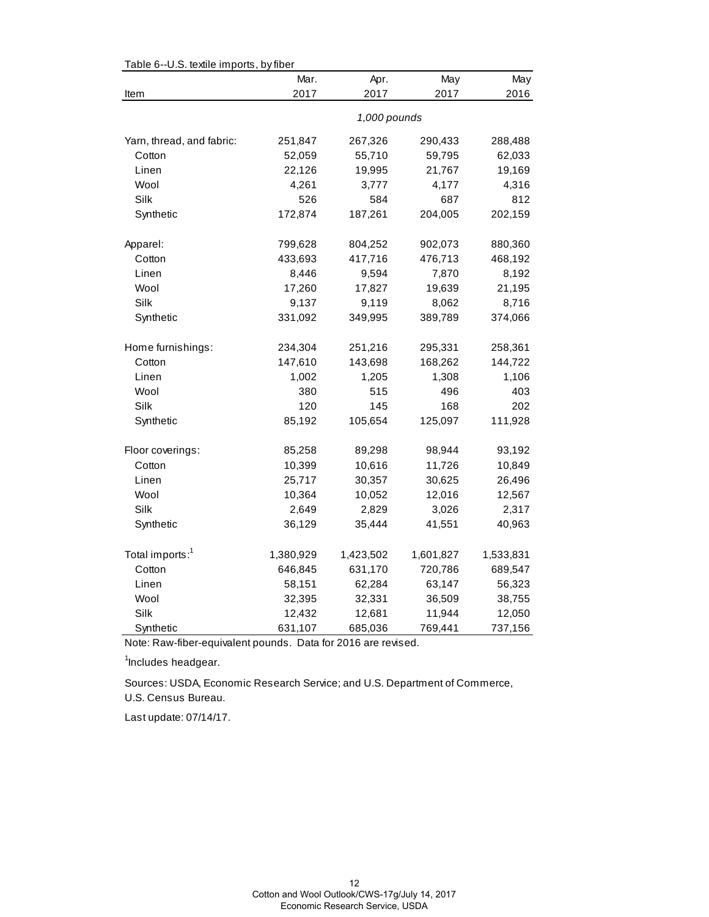| Table 6--0.5. textile imports, by fiber | Mar.      | Apr.         | May       | May       |
|-----------------------------------------|-----------|--------------|-----------|-----------|
| Item                                    | 2017      | 2017         | 2017      | 2016      |
|                                         |           |              |           |           |
|                                         |           | 1,000 pounds |           |           |
| Yarn, thread, and fabric:               | 251,847   | 267,326      | 290,433   | 288,488   |
| Cotton                                  | 52,059    | 55,710       | 59,795    | 62,033    |
| Linen                                   | 22,126    | 19,995       | 21,767    | 19,169    |
| Wool                                    | 4,261     | 3,777        | 4,177     | 4,316     |
| Silk                                    | 526       | 584          | 687       | 812       |
| Synthetic                               | 172,874   | 187,261      | 204,005   | 202,159   |
|                                         |           |              |           |           |
| Apparel:                                | 799,628   | 804,252      | 902,073   | 880,360   |
| Cotton                                  | 433,693   | 417,716      | 476,713   | 468,192   |
| Linen                                   | 8,446     | 9,594        | 7,870     | 8,192     |
| Wool                                    | 17,260    | 17,827       | 19,639    | 21,195    |
| Silk                                    | 9,137     | 9,119        | 8,062     | 8,716     |
| Synthetic                               | 331,092   | 349,995      | 389,789   | 374,066   |
| Home furnishings:                       | 234,304   | 251,216      | 295,331   | 258,361   |
| Cotton                                  | 147,610   | 143,698      | 168,262   | 144,722   |
| Linen                                   | 1,002     | 1,205        | 1,308     | 1,106     |
| Wool                                    | 380       | 515          | 496       | 403       |
| Silk                                    | 120       | 145          | 168       | 202       |
| Synthetic                               | 85,192    | 105,654      | 125,097   | 111,928   |
|                                         |           |              |           |           |
| Floor coverings:                        | 85,258    | 89,298       | 98,944    | 93,192    |
| Cotton                                  | 10,399    | 10,616       | 11,726    | 10,849    |
| Linen                                   | 25,717    | 30,357       | 30,625    | 26,496    |
| Wool                                    | 10,364    | 10,052       | 12,016    | 12,567    |
| Silk                                    | 2,649     | 2,829        | 3,026     | 2,317     |
| Synthetic                               | 36,129    | 35,444       | 41,551    | 40,963    |
| Total imports: <sup>1</sup>             | 1,380,929 | 1,423,502    | 1,601,827 | 1,533,831 |
| Cotton                                  | 646,845   | 631,170      | 720,786   | 689,547   |
| Linen                                   | 58,151    | 62,284       | 63,147    | 56,323    |
| Wool                                    | 32,395    | 32,331       | 36,509    | 38,755    |
| Silk                                    | 12,432    | 12,681       | 11,944    | 12,050    |
| Synthetic                               | 631,107   | 685,036      | 769,441   | 737,156   |

Table 6--U.S. textile imports, by fiber

Note: Raw-fiber-equivalent pounds. Data for 2016 are revised.

<sup>1</sup>Includes headgear.

U.S. Census Bureau. Sources: USDA, Economic Research Service; and U.S. Department of Commerce,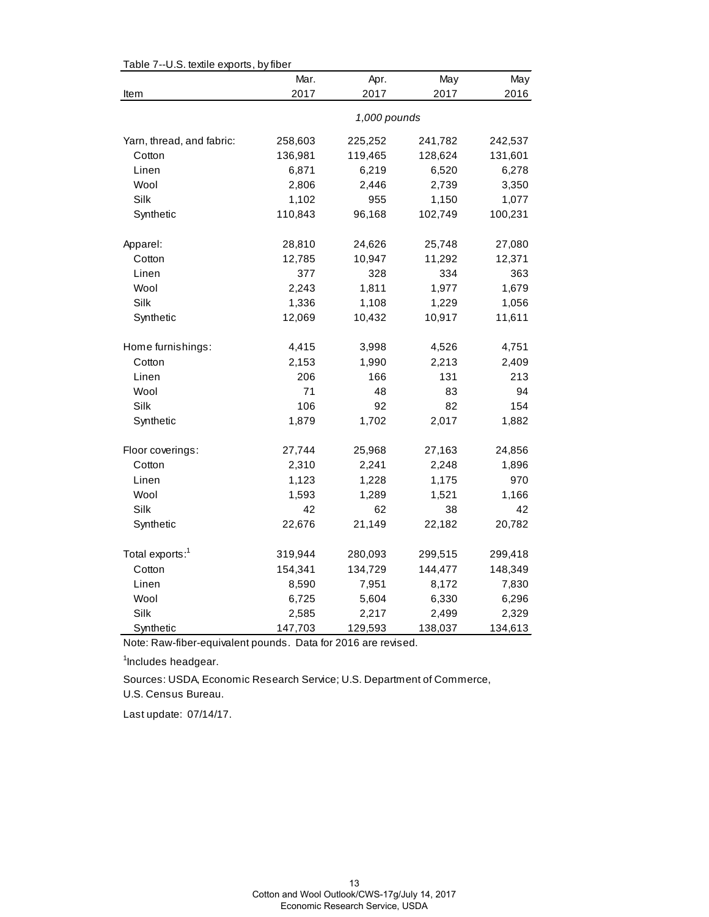| Table 7--0.5. textile exports, by fiber | Mar.         | Apr.    | May     | May     |  |
|-----------------------------------------|--------------|---------|---------|---------|--|
| Item                                    | 2017         | 2017    | 2017    | 2016    |  |
|                                         | 1,000 pounds |         |         |         |  |
| Yarn, thread, and fabric:               | 258,603      | 225,252 | 241,782 | 242,537 |  |
| Cotton                                  | 136,981      | 119,465 | 128,624 | 131,601 |  |
| Linen                                   | 6,871        | 6,219   | 6,520   | 6,278   |  |
| Wool                                    | 2,806        | 2,446   | 2,739   | 3,350   |  |
| Silk                                    | 1,102        | 955     | 1,150   | 1,077   |  |
| Synthetic                               | 110,843      | 96,168  | 102,749 | 100,231 |  |
| Apparel:                                | 28,810       | 24,626  | 25,748  | 27,080  |  |
| Cotton                                  | 12,785       | 10,947  | 11,292  | 12,371  |  |
| Linen                                   | 377          | 328     | 334     | 363     |  |
| Wool                                    | 2,243        | 1,811   | 1,977   | 1,679   |  |
| <b>Silk</b>                             | 1,336        | 1,108   | 1,229   | 1,056   |  |
| Synthetic                               | 12,069       | 10,432  | 10,917  | 11,611  |  |
| Home furnishings:                       | 4,415        | 3,998   | 4,526   | 4,751   |  |
| Cotton                                  | 2,153        | 1,990   | 2,213   | 2,409   |  |
| Linen                                   | 206          | 166     | 131     | 213     |  |
| Wool                                    | 71           | 48      | 83      | 94      |  |
| Silk                                    | 106          | 92      | 82      | 154     |  |
| Synthetic                               | 1,879        | 1,702   | 2,017   | 1,882   |  |
| Floor coverings:                        | 27,744       | 25,968  | 27,163  | 24,856  |  |
| Cotton                                  | 2,310        | 2,241   | 2,248   | 1,896   |  |
| Linen                                   | 1,123        | 1,228   | 1,175   | 970     |  |
| Wool                                    | 1,593        | 1,289   | 1,521   | 1,166   |  |
| Silk                                    | 42           | 62      | 38      | 42      |  |
| Synthetic                               | 22,676       | 21,149  | 22,182  | 20,782  |  |
| Total exports: <sup>1</sup>             | 319,944      | 280,093 | 299,515 | 299,418 |  |
| Cotton                                  | 154,341      | 134,729 | 144,477 | 148,349 |  |
| Linen                                   | 8,590        | 7,951   | 8,172   | 7,830   |  |
| Wool                                    | 6,725        | 5,604   | 6,330   | 6,296   |  |
| Silk                                    | 2,585        | 2,217   | 2,499   | 2,329   |  |
| Synthetic                               | 147,703      | 129,593 | 138,037 | 134,613 |  |

Table 7--U.S. textile exports, by fiber

Note: Raw-fiber-equivalent pounds. Data for 2016 are revised.

<sup>1</sup>Includes headgear.

Sources: USDA, Economic Research Service; U.S. Department of Commerce,

U.S. Census Bureau.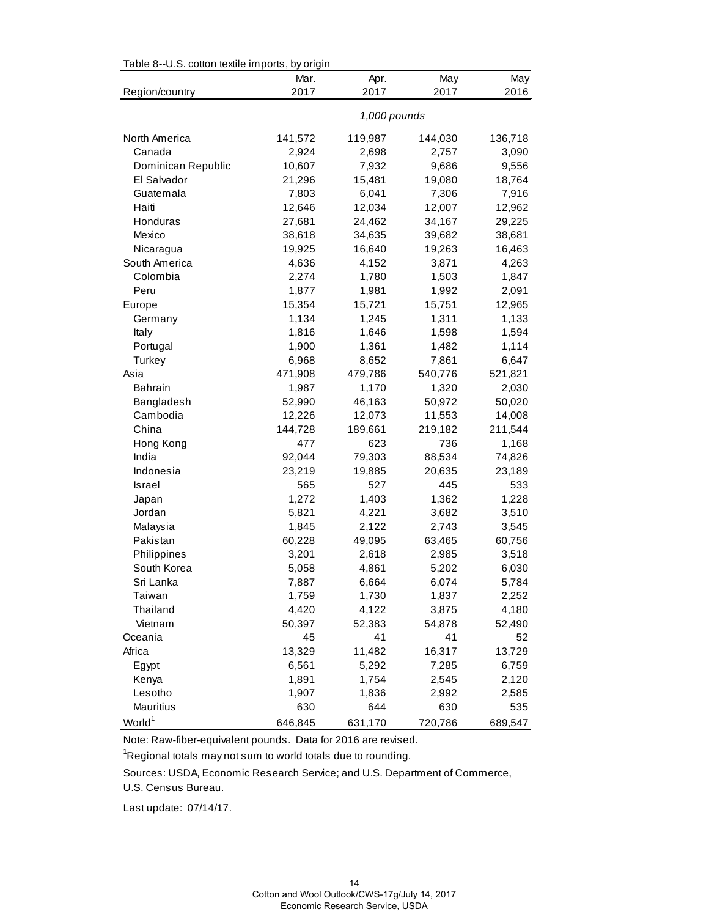| Table 8--U.S. cotton textile imports, by origin |              |         |         |         |  |
|-------------------------------------------------|--------------|---------|---------|---------|--|
|                                                 | Mar.         | Apr.    | May     | May     |  |
| Region/country                                  | 2017         | 2017    | 2017    | 2016    |  |
|                                                 | 1,000 pounds |         |         |         |  |
| North America                                   | 141,572      | 119,987 | 144,030 | 136,718 |  |
| Canada                                          | 2,924        | 2,698   | 2,757   | 3,090   |  |
| Dominican Republic                              | 10,607       | 7,932   | 9,686   | 9,556   |  |
| El Salvador                                     | 21,296       | 15,481  | 19,080  | 18,764  |  |
| Guatemala                                       | 7,803        | 6,041   | 7,306   | 7,916   |  |
| Haiti                                           | 12,646       | 12,034  | 12,007  | 12,962  |  |
| Honduras                                        | 27,681       | 24,462  | 34,167  | 29,225  |  |
| Mexico                                          | 38,618       | 34,635  | 39,682  | 38,681  |  |
| Nicaragua                                       | 19,925       | 16,640  | 19,263  | 16,463  |  |
| South America                                   | 4,636        | 4,152   | 3,871   | 4,263   |  |
| Colombia                                        | 2,274        | 1,780   | 1,503   | 1,847   |  |
| Peru                                            | 1,877        | 1,981   | 1,992   | 2,091   |  |
| Europe                                          | 15,354       | 15,721  | 15,751  | 12,965  |  |
| Germany                                         | 1,134        | 1,245   | 1,311   | 1,133   |  |
| Italy                                           | 1,816        | 1,646   | 1,598   | 1,594   |  |
| Portugal                                        | 1,900        | 1,361   | 1,482   | 1,114   |  |
| Turkey                                          | 6,968        | 8,652   | 7,861   | 6,647   |  |
| Asia                                            | 471,908      | 479,786 | 540,776 | 521,821 |  |
| <b>Bahrain</b>                                  | 1,987        | 1,170   | 1,320   | 2,030   |  |
| Bangladesh                                      | 52,990       | 46,163  | 50,972  | 50,020  |  |
| Cambodia                                        | 12,226       | 12,073  | 11,553  | 14,008  |  |
| China                                           | 144,728      | 189,661 | 219,182 | 211,544 |  |
| Hong Kong                                       | 477          | 623     | 736     | 1,168   |  |
| India                                           | 92,044       | 79,303  | 88,534  | 74,826  |  |
| Indonesia                                       | 23,219       | 19,885  | 20,635  | 23,189  |  |
| Israel                                          | 565          | 527     | 445     | 533     |  |
| Japan                                           | 1,272        | 1,403   | 1,362   | 1,228   |  |
| Jordan                                          | 5,821        | 4,221   | 3,682   | 3,510   |  |
| Malaysia                                        | 1,845        | 2,122   | 2,743   | 3,545   |  |
| Pakistan                                        | 60,228       | 49,095  | 63,465  | 60,756  |  |
| Philippines                                     | 3,201        | 2,618   | 2,985   | 3,518   |  |
| South Korea                                     | 5,058        | 4,861   | 5,202   | 6,030   |  |
| Sri Lanka                                       | 7,887        | 6,664   | 6,074   | 5,784   |  |
| Taiwan                                          | 1,759        | 1,730   | 1,837   | 2,252   |  |
| Thailand                                        | 4,420        | 4,122   | 3,875   | 4,180   |  |
| Vietnam                                         | 50,397       | 52,383  | 54,878  | 52,490  |  |
| Oceania                                         | 45           | 41      | 41      | 52      |  |
| Africa                                          | 13,329       | 11,482  | 16,317  | 13,729  |  |
| Egypt                                           | 6,561        | 5,292   | 7,285   | 6,759   |  |
| Kenya                                           | 1,891        | 1,754   | 2,545   | 2,120   |  |
| Lesotho                                         | 1,907        | 1,836   | 2,992   | 2,585   |  |
| Mauritius                                       | 630          | 644     | 630     | 535     |  |
| World <sup>1</sup>                              | 646,845      | 631,170 | 720,786 | 689,547 |  |

 $Table 8-11$   $S$  cotton textile imports, by origin

Note: Raw-fiber-equivalent pounds. Data for 2016 are revised.

 $\mathrm{{}^1}$ Regional totals may not sum to world totals due to rounding.

Sources: USDA, Economic Research Service; and U.S. Department of Commerce,

U.S. Census Bureau.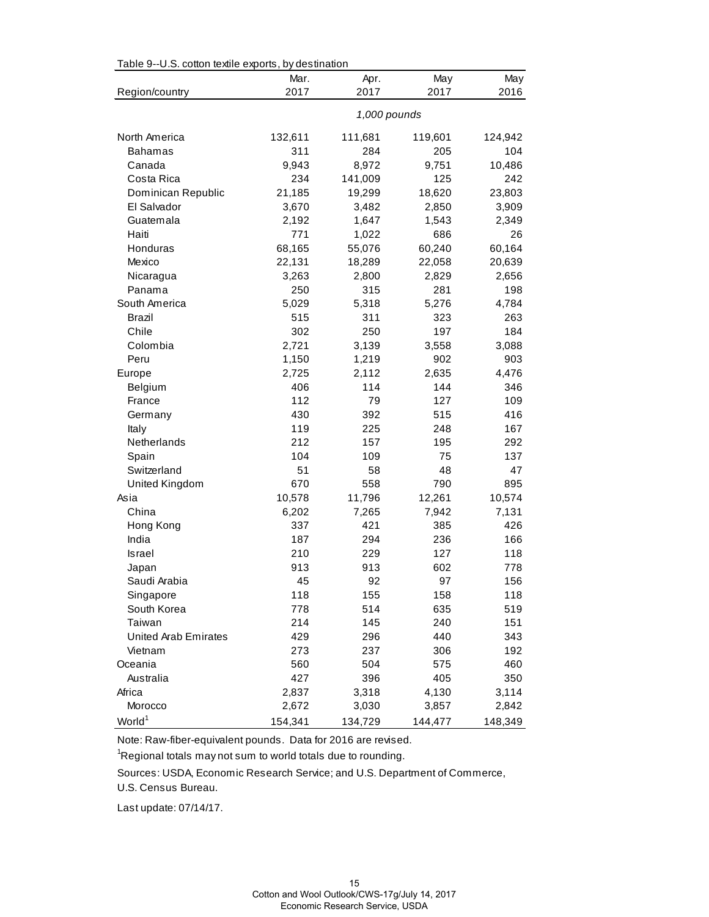| rable 9--0.5. Collon lexine exports, by destination |              |         |         |         |  |  |
|-----------------------------------------------------|--------------|---------|---------|---------|--|--|
|                                                     | Mar.         | Apr.    | May     | May     |  |  |
| Region/country                                      | 2017         | 2017    | 2017    | 2016    |  |  |
|                                                     | 1,000 pounds |         |         |         |  |  |
| North America                                       | 132,611      | 111,681 | 119,601 | 124,942 |  |  |
| <b>Bahamas</b>                                      | 311          | 284     | 205     | 104     |  |  |
| Canada                                              | 9,943        | 8,972   | 9,751   | 10,486  |  |  |
| Costa Rica                                          | 234          | 141,009 | 125     | 242     |  |  |
| Dominican Republic                                  | 21,185       | 19,299  | 18,620  | 23,803  |  |  |
| El Salvador                                         | 3,670        | 3,482   | 2,850   | 3,909   |  |  |
| Guatemala                                           | 2,192        | 1,647   | 1,543   | 2,349   |  |  |
| Haiti                                               | 771          | 1,022   | 686     | 26      |  |  |
| Honduras                                            | 68,165       | 55,076  | 60,240  | 60,164  |  |  |
| Mexico                                              | 22,131       | 18,289  | 22,058  | 20,639  |  |  |
| Nicaragua                                           | 3,263        | 2,800   | 2,829   | 2,656   |  |  |
| Panama                                              | 250          | 315     | 281     | 198     |  |  |
| South America                                       | 5,029        | 5,318   | 5,276   | 4,784   |  |  |
| <b>Brazil</b>                                       | 515          | 311     | 323     | 263     |  |  |
| Chile                                               | 302          | 250     | 197     | 184     |  |  |
| Colombia                                            | 2,721        | 3,139   | 3,558   | 3,088   |  |  |
| Peru                                                | 1,150        | 1,219   | 902     | 903     |  |  |
| Europe                                              | 2,725        | 2,112   | 2,635   | 4,476   |  |  |
| Belgium                                             | 406          | 114     | 144     | 346     |  |  |
| France                                              | 112          | 79      | 127     | 109     |  |  |
| Germany                                             | 430          | 392     | 515     | 416     |  |  |
| Italy                                               | 119          | 225     | 248     | 167     |  |  |
| Netherlands                                         | 212          | 157     | 195     | 292     |  |  |
| Spain                                               | 104          | 109     | 75      | 137     |  |  |
| Switzerland                                         | 51           | 58      | 48      | 47      |  |  |
| United Kingdom                                      | 670          | 558     | 790     | 895     |  |  |
| Asia                                                | 10,578       | 11,796  | 12,261  | 10,574  |  |  |
| China                                               | 6,202        | 7,265   | 7,942   | 7,131   |  |  |
| Hong Kong                                           | 337          | 421     | 385     | 426     |  |  |
| India                                               | 187          | 294     | 236     | 166     |  |  |
| Israel                                              | 210          | 229     | 127     | 118     |  |  |
| Japan                                               | 913          | 913     | 602     | 778     |  |  |
| Saudi Arabia                                        | 45           | 92      | 97      | 156     |  |  |
| Singapore                                           | 118          | 155     | 158     | 118     |  |  |
| South Korea                                         | 778          | 514     | 635     | 519     |  |  |
| Taiwan                                              | 214          | 145     | 240     | 151     |  |  |
| United Arab Emirates                                | 429          | 296     | 440     | 343     |  |  |
| Vietnam                                             | 273          | 237     | 306     | 192     |  |  |
| Oceania                                             | 560          | 504     | 575     | 460     |  |  |
| Australia                                           | 427          | 396     | 405     | 350     |  |  |
| Africa                                              | 2,837        | 3,318   | 4,130   | 3,114   |  |  |
| Morocco                                             | 2,672        | 3,030   | 3,857   | 2,842   |  |  |
| World <sup>1</sup>                                  | 154,341      | 134,729 | 144,477 | 148,349 |  |  |

Table 9--U.S. cotton textile exports, by destination

Note: Raw-fiber-equivalent pounds. Data for 2016 are revised.

 $\mathrm{{}^1}$ Regional totals may not sum to world totals due to rounding.

Sources: USDA, Economic Research Service; and U.S. Department of Commerce,

U.S. Census Bureau.